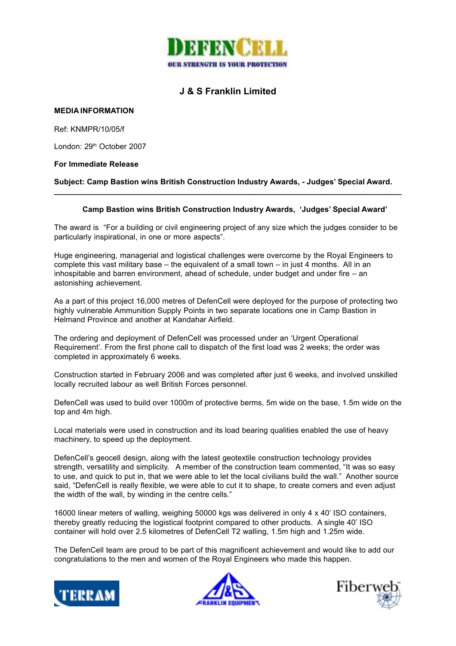

# **J & S Franklin Limited**

## **MEDIA INFORMATION**

Ref: KNMPR/10/05/f

London: 29<sup>th</sup> October 2007

### **For Immediate Release**

**Subject: Camp Bastion wins British Construction Industry Awards, - Judges' Special Award. \_\_\_\_\_\_\_\_\_\_\_\_\_\_\_\_\_\_\_\_\_\_\_\_\_\_\_\_\_\_\_\_\_\_\_\_\_\_\_\_\_\_\_\_\_\_\_\_\_\_\_\_\_\_\_\_\_\_\_\_\_\_\_\_\_\_\_\_\_\_\_\_\_\_\_\_\_\_\_\_\_\_**

### **Camp Bastion wins British Construction Industry Awards, 'Judges' Special Award'**

The award is "For a building or civil engineering project of any size which the judges consider to be particularly inspirational, in one or more aspects".

Huge engineering, managerial and logistical challenges were overcome by the Royal Engineers to complete this vast military base – the equivalent of a small town – in just 4 months. All in an inhospitable and barren environment, ahead of schedule, under budget and under fire – an astonishing achievement.

As a part of this project 16,000 metres of DefenCell were deployed for the purpose of protecting two highly vulnerable Ammunition Supply Points in two separate locations one in Camp Bastion in Helmand Province and another at Kandahar Airfield.

The ordering and deployment of DefenCell was processed under an 'Urgent Operational Requirement'. From the first phone call to dispatch of the first load was 2 weeks; the order was completed in approximately 6 weeks.

Construction started in February 2006 and was completed after just 6 weeks, and involved unskilled locally recruited labour as well British Forces personnel.

DefenCell was used to build over 1000m of protective berms, 5m wide on the base, 1.5m wide on the top and 4m high.

Local materials were used in construction and its load bearing qualities enabled the use of heavy machinery, to speed up the deployment.

DefenCell's geocell design, along with the latest geotextile construction technology provides strength, versatility and simplicity. A member of the construction team commented, "It was so easy to use, and quick to put in, that we were able to let the local civilians build the wall." Another source said, "DefenCell is really flexible, we were able to cut it to shape, to create corners and even adjust the width of the wall, by winding in the centre cells."

16000 linear meters of walling, weighing 50000 kgs was delivered in only 4 x 40' ISO containers, thereby greatly reducing the logistical footprint compared to other products. A single 40' ISO container will hold over 2.5 kilometres of DefenCell T2 walling, 1.5m high and 1.25m wide.

The DefenCell team are proud to be part of this magnificent achievement and would like to add our congratulations to the men and women of the Royal Engineers who made this happen.